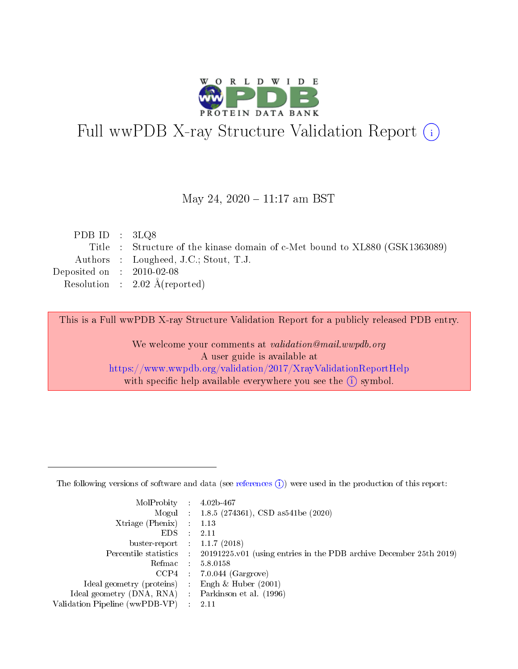

# Full wwPDB X-ray Structure Validation Report (i)

#### May 24, 2020 - 11:17 am BST

| PDB ID : $3LQ8$             |                                                                             |
|-----------------------------|-----------------------------------------------------------------------------|
|                             | Title : Structure of the kinase domain of c-Met bound to XL880 (GSK1363089) |
|                             | Authors : Lougheed, J.C.; Stout, T.J.                                       |
| Deposited on : $2010-02-08$ |                                                                             |
|                             | Resolution : $2.02 \text{ Å}$ (reported)                                    |
|                             |                                                                             |

This is a Full wwPDB X-ray Structure Validation Report for a publicly released PDB entry.

We welcome your comments at validation@mail.wwpdb.org A user guide is available at <https://www.wwpdb.org/validation/2017/XrayValidationReportHelp> with specific help available everywhere you see the  $(i)$  symbol.

The following versions of software and data (see [references](https://www.wwpdb.org/validation/2017/XrayValidationReportHelp#references)  $(1)$ ) were used in the production of this report:

| MolProbity :                   |               | $4.02b - 467$                                                               |
|--------------------------------|---------------|-----------------------------------------------------------------------------|
|                                |               | Mogul : $1.8.5$ (274361), CSD as 541be (2020)                               |
| $X$ triage (Phenix) :          |               | 1.13                                                                        |
| EDS.                           |               | 2.11                                                                        |
| buster-report : $1.1.7$ (2018) |               |                                                                             |
| Percentile statistics :        |               | $20191225 \text{v}01$ (using entries in the PDB archive December 25th 2019) |
| Refmac :                       |               | 5.8.0158                                                                    |
| $CCP4$ :                       |               | $7.0.044$ (Gargrove)                                                        |
| Ideal geometry (proteins) :    |               | Engh $\&$ Huber (2001)                                                      |
| Ideal geometry (DNA, RNA) :    |               | Parkinson et al. (1996)                                                     |
| Validation Pipeline (wwPDB-VP) | $\mathcal{L}$ | 2.11                                                                        |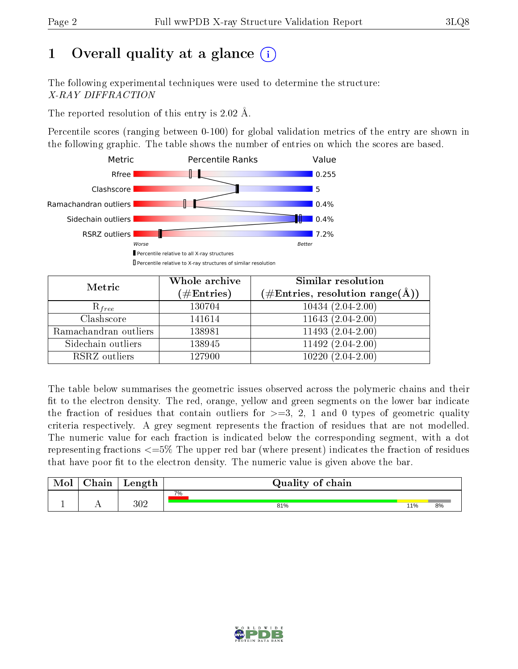# 1 [O](https://www.wwpdb.org/validation/2017/XrayValidationReportHelp#overall_quality)verall quality at a glance  $(i)$

The following experimental techniques were used to determine the structure: X-RAY DIFFRACTION

The reported resolution of this entry is 2.02 Å.

Percentile scores (ranging between 0-100) for global validation metrics of the entry are shown in the following graphic. The table shows the number of entries on which the scores are based.



| Metric                | Whole archive<br>$(\#\mathrm{Entries})$ | Similar resolution<br>$(\#\text{Entries},\,\text{resolution}\,\,\text{range}(\textup{\AA}))$ |
|-----------------------|-----------------------------------------|----------------------------------------------------------------------------------------------|
| $R_{free}$            | 130704                                  | $10434(2.04-2.00)$                                                                           |
| Clashscore            | 141614                                  | $11643(2.04-2.00)$                                                                           |
| Ramachandran outliers | 138981                                  | $11493(2.04-2.00)$                                                                           |
| Sidechain outliers    | 138945                                  | $11492(2.04-2.00)$                                                                           |
| RSRZ outliers         | 127900                                  | $10220(2.04-2.00)$                                                                           |

The table below summarises the geometric issues observed across the polymeric chains and their fit to the electron density. The red, orange, yellow and green segments on the lower bar indicate the fraction of residues that contain outliers for  $>=3, 2, 1$  and 0 types of geometric quality criteria respectively. A grey segment represents the fraction of residues that are not modelled. The numeric value for each fraction is indicated below the corresponding segment, with a dot representing fractions <=5% The upper red bar (where present) indicates the fraction of residues that have poor fit to the electron density. The numeric value is given above the bar.

| Mol | $\cap$ hain | Length  | Quality of chain |     |    |
|-----|-------------|---------|------------------|-----|----|
|     |             |         | 7%               |     |    |
| д.  | . .         | $302\,$ | 81%              | 11% | 8% |

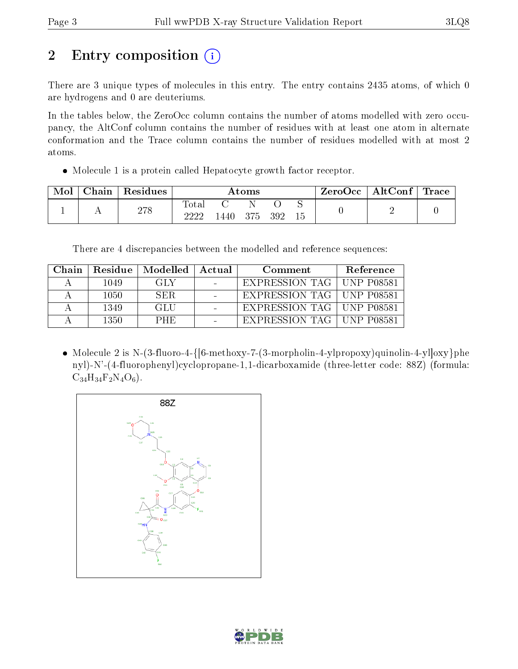# 2 Entry composition  $\left( \cdot \right)$

There are 3 unique types of molecules in this entry. The entry contains 2435 atoms, of which 0 are hydrogens and 0 are deuteriums.

In the tables below, the ZeroOcc column contains the number of atoms modelled with zero occupancy, the AltConf column contains the number of residues with at least one atom in alternate conformation and the Trace column contains the number of residues modelled with at most 2 atoms.

Molecule 1 is a protein called Hepatocyte growth factor receptor.

| Mol | Chain | Residues | Atoms         |      |     | $\mid$ ZeroOcc $\mid$ AltConf $\mid$ Trace |    |  |  |
|-----|-------|----------|---------------|------|-----|--------------------------------------------|----|--|--|
|     |       | 278      | Tota.<br>າາາາ | 440. | 375 | 392                                        | 15 |  |  |

There are 4 discrepancies between the modelled and reference sequences:

| Chain | Residue | Modelled   | Actual | Comment                     | Reference |
|-------|---------|------------|--------|-----------------------------|-----------|
|       | 1049    | GLY        |        | EXPRESSION TAG   UNP P08581 |           |
|       | 1050    | SER.       |        | EXPRESSION TAG   UNP P08581 |           |
|       | 1349    | GLU        |        | EXPRESSION TAG   UNP P08581 |           |
|       | 1350    | <b>PHE</b> |        | EXPRESSION TAG   UNP P08581 |           |

• Molecule 2 is N-(3-fluoro-4-{ $[6\text{-}methodary-7-(3\text{-}morphism-4\text{-}y]propoxy)quinolin-4-yl]oxy}$ }phe nyl)-N'-(4-fluorophenyl)cyclopropane-1,1-dicarboxamide (three-letter code: 88Z) (formula:  $C_{34}H_{34}F_2N_4O_6$ .



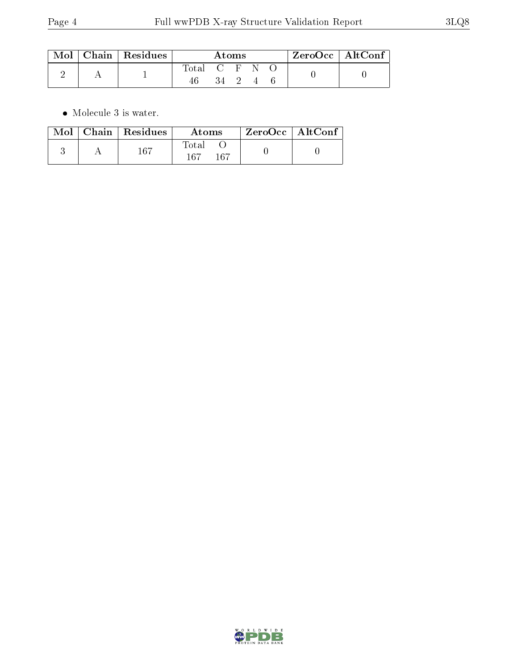|  | $\parallel$ Mol $\parallel$ Chain $\parallel$ Residues $\parallel$ | Atoms         |                      |  |  | $\rm ZeroOcc$   Alt $\rm Conf$ |  |  |
|--|--------------------------------------------------------------------|---------------|----------------------|--|--|--------------------------------|--|--|
|  |                                                                    | Total C F N O |                      |  |  |                                |  |  |
|  |                                                                    | 46            | $34 \quad 2 \quad 4$ |  |  |                                |  |  |

 $\bullet\,$  Molecule 3 is water.

|  | $Mol$   Chain   Residues | Atoms               | $ZeroOcc \mid AltConf$ |  |
|--|--------------------------|---------------------|------------------------|--|
|  | $167\,$                  | Total<br>167<br>167 |                        |  |

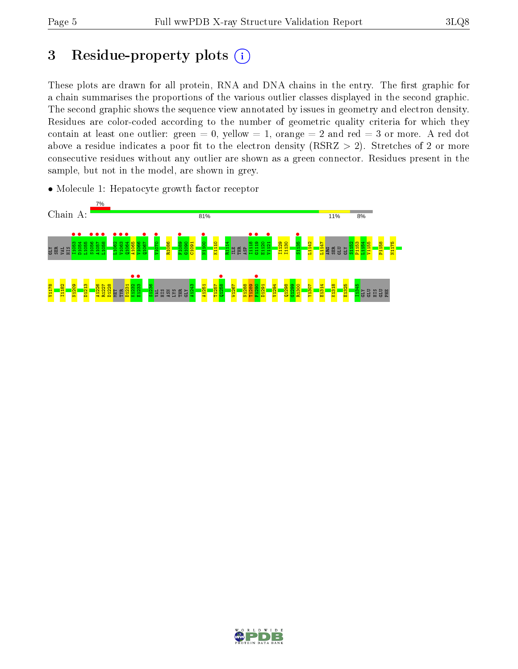## 3 Residue-property plots  $(i)$

These plots are drawn for all protein, RNA and DNA chains in the entry. The first graphic for a chain summarises the proportions of the various outlier classes displayed in the second graphic. The second graphic shows the sequence view annotated by issues in geometry and electron density. Residues are color-coded according to the number of geometric quality criteria for which they contain at least one outlier: green  $= 0$ , yellow  $= 1$ , orange  $= 2$  and red  $= 3$  or more. A red dot above a residue indicates a poor fit to the electron density (RSRZ  $> 2$ ). Stretches of 2 or more consecutive residues without any outlier are shown as a green connector. Residues present in the sample, but not in the model, are shown in grey.

• Molecule 1: Hepatocyte growth factor receptor



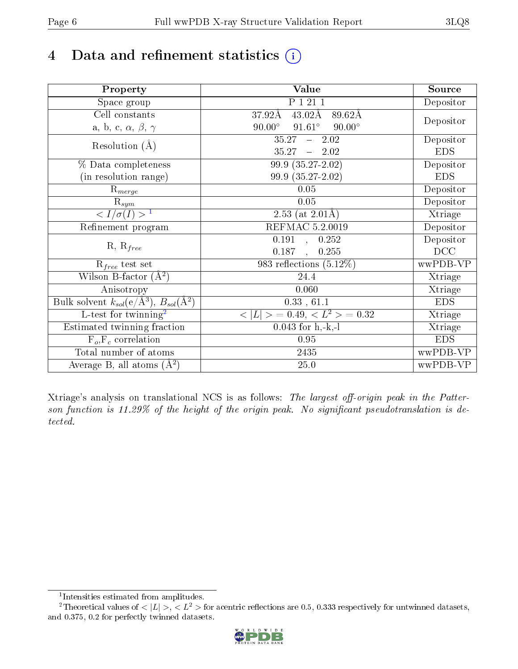# 4 Data and refinement statistics  $(i)$

| Property                                                             | Value                                            | Source     |
|----------------------------------------------------------------------|--------------------------------------------------|------------|
| Space group                                                          | P 1 21 1                                         | Depositor  |
| Cell constants                                                       | $43.02\text{\AA}$<br>$37.92\text{\AA}$<br>89.62Å |            |
| a, b, c, $\alpha$ , $\beta$ , $\gamma$                               | $91.61^\circ$<br>$90.00^\circ$<br>$90.00^\circ$  | Depositor  |
| Resolution $(A)$                                                     | 35.27<br>$-2.02$                                 | Depositor  |
|                                                                      | 35.27<br>$-2.02$                                 | <b>EDS</b> |
| % Data completeness                                                  | $99.9(35.27-2.02)$                               | Depositor  |
| (in resolution range)                                                | 99.9 (35.27-2.02)                                | <b>EDS</b> |
| $R_{merge}$                                                          | 0.05                                             | Depositor  |
| $\mathrm{R}_{sym}$                                                   | $0.05\,$                                         | Depositor  |
| $\langle I/\sigma(I) \rangle$ <sup>1</sup>                           | $\overline{2.53}$ (at 2.01Å)                     | Xtriage    |
| Refinement program                                                   | <b>REFMAC 5.2.0019</b>                           | Depositor  |
|                                                                      | $\overline{0.191}$ ,<br>0.252                    | Depositor  |
| $R, R_{free}$                                                        | 0.187<br>0.255<br>$\ddot{\phantom{a}}$           | DCC        |
| $\mathcal{R}_{free}$ test set                                        | 983 reflections $(5.12\%)$                       | wwPDB-VP   |
| Wilson B-factor $(A^2)$                                              | 24.4                                             | Xtriage    |
| Anisotropy                                                           | 0.060                                            | Xtriage    |
| Bulk solvent $k_{sol}(e/\mathring{A}^3)$ , $B_{sol}(\mathring{A}^2)$ | 0.33, 61.1                                       | <b>EDS</b> |
| L-test for twinning <sup>2</sup>                                     | $< L >$ = 0.49, $< L^2 >$ = 0.32                 | Xtriage    |
| Estimated twinning fraction                                          | $0.043$ for h,-k,-l                              | Xtriage    |
| $F_o, F_c$ correlation                                               | 0.95                                             | <b>EDS</b> |
| Total number of atoms                                                | 2435                                             | wwPDB-VP   |
| Average B, all atoms $(A^2)$                                         | 25.0                                             | wwPDB-VP   |

Xtriage's analysis on translational NCS is as follows: The largest off-origin peak in the Patterson function is  $11.29\%$  of the height of the origin peak. No significant pseudotranslation is detected.

<sup>&</sup>lt;sup>2</sup>Theoretical values of  $\langle |L| \rangle$ ,  $\langle L^2 \rangle$  for acentric reflections are 0.5, 0.333 respectively for untwinned datasets, and 0.375, 0.2 for perfectly twinned datasets.



<span id="page-5-1"></span><span id="page-5-0"></span><sup>1</sup> Intensities estimated from amplitudes.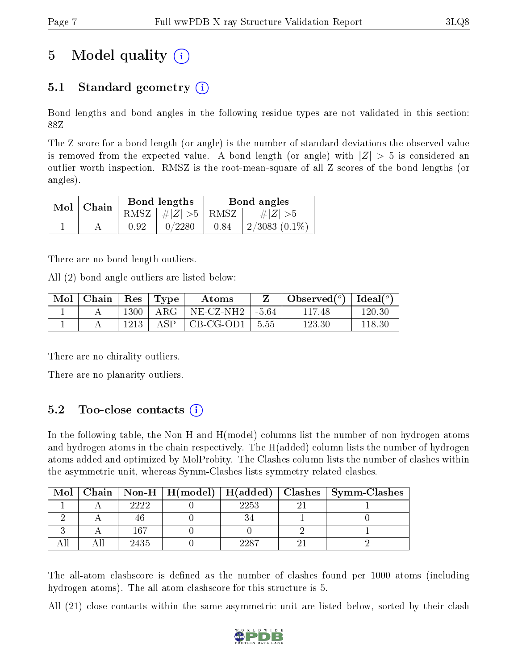# 5 Model quality  $(i)$

## 5.1 Standard geometry  $(i)$

Bond lengths and bond angles in the following residue types are not validated in this section: 88Z

The Z score for a bond length (or angle) is the number of standard deviations the observed value is removed from the expected value. A bond length (or angle) with  $|Z| > 5$  is considered an outlier worth inspection. RMSZ is the root-mean-square of all Z scores of the bond lengths (or angles).

| $Mol$   Chain |      | Bond lengths                     | Bond angles |                    |  |
|---------------|------|----------------------------------|-------------|--------------------|--|
|               |      | RMSZ $\mid \#  Z  > 5 \mid$ RMSZ |             | $\# Z  > 5$        |  |
|               | 0.92 | 0/2280                           | 0.84        | $2/3083$ $(0.1\%)$ |  |

There are no bond length outliers.

All (2) bond angle outliers are listed below:

| $\bf{Mol}$ | $\vert$ Chain $\vert$ Res $\vert$ Type |        |                  | Atoms                   |         | Observed <sup>(<math>\circ</math>)</sup> $\vert$ Ideal( $\circ$ ) |            |
|------------|----------------------------------------|--------|------------------|-------------------------|---------|-------------------------------------------------------------------|------------|
|            |                                        | $1300$ | ' ARG            | $NE$ $CZ$ $NH2$ $\perp$ | . -5.64 | 11748                                                             | $120.30\,$ |
|            |                                        | 1213   | ASP <sup>2</sup> | CB-CG-OD1               | 5.55    | $123.30\,$                                                        | 118.30     |

There are no chirality outliers.

There are no planarity outliers.

### 5.2 Too-close contacts  $(i)$

In the following table, the Non-H and H(model) columns list the number of non-hydrogen atoms and hydrogen atoms in the chain respectively. The H(added) column lists the number of hydrogen atoms added and optimized by MolProbity. The Clashes column lists the number of clashes within the asymmetric unit, whereas Symm-Clashes lists symmetry related clashes.

|  |      |      | Mol   Chain   Non-H   H(model)   H(added)   Clashes   Symm-Clashes |
|--|------|------|--------------------------------------------------------------------|
|  | วววว | 2253 |                                                                    |
|  | 4h   |      |                                                                    |
|  | 167  |      |                                                                    |
|  | 2435 | 9987 |                                                                    |

The all-atom clashscore is defined as the number of clashes found per 1000 atoms (including hydrogen atoms). The all-atom clashscore for this structure is 5.

All (21) close contacts within the same asymmetric unit are listed below, sorted by their clash

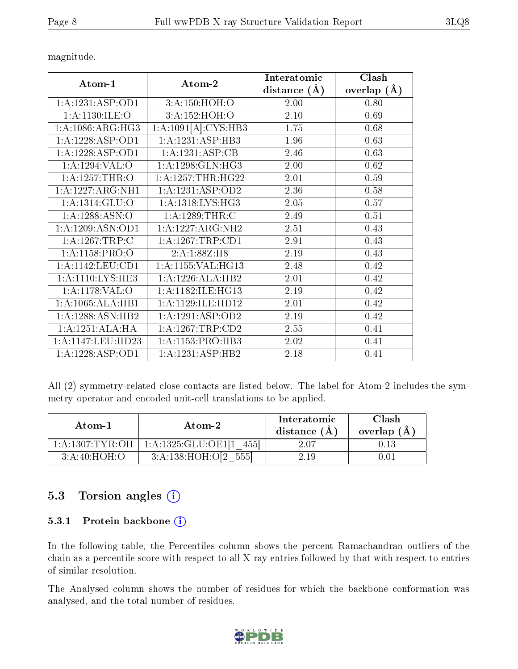|                             |                               | Interatomic    | Clash              |
|-----------------------------|-------------------------------|----------------|--------------------|
| Atom-1                      | Atom-2                        | distance $(A)$ | $(\AA)$<br>overlap |
| 1:A:1231:ASP:OD1            | 3:A:150:HOH:O                 | 2.00           | 0.80               |
| 1: A: 1130: ILE: O          | 3:A:152:HOH:O                 | 2.10           | 0.69               |
| 1: A:1086: ARG: HG3         | 1:A:1091[A]:CYS:HB3           | 1.75           | 0.68               |
| 1:A:1228:ASP:OD1            | 1:A:1231:ASP:HB3              | 1.96           | 0.63               |
| 1:A:1228:ASP:OD1            | 1:A:1231:ASP:CB               | 2.46           | 0.63               |
| 1:A:1294:VAL:O              | $1:A:1298:\overline{GLN:HG3}$ | 2.00           | 0.62               |
| 1: A:1257:THR:O             | 1: A: 1257: THR: HG22         | 2.01           | 0.59               |
| 1:A:1227:ARG:NH1            | 1:A:1231:ASP:OD2              | 2.36           | 0.58               |
| 1: A: 1314: GL <u>U</u> : O | 1:A:1318:LYS:HG3              | 2.05           | 0.57               |
| 1:A:1288:ASN:O              | 1:A:1289:THR:C                | 2.49           | 0.51               |
| 1:A:1209:ASN:OD1            | 1:A:1227:ARG:NH2              | 2.51           | 0.43               |
| 1: A: 1267: TRP: C          | 1: A: 1267: TRP: CD1          | 2.91           | 0.43               |
| 1: A: 1158: PRO: O          | 2:A:1:88Z:H8                  | 2.19           | 0.43               |
| 1:A:1142:LEU:CD1            | 1: A: 1155: VAL:HG13          | 2.48           | 0.42               |
| 1: A: 1110: LYS: HE3        | 1:A:1226:ALA:HB2              | 2.01           | 0.42               |
| 1: A: 1178: VAL: O          | 1: A:1182: ILE: HG13          | 2.19           | 0.42               |
| 1:A:1065:ALA:HB1            | 1:A:1129:ILE:HD12             | 2.01           | 0.42               |
| 1:A:1288:ASN:HB2            | 1:A:1291:ASP:OD2              | 2.19           | 0.42               |
| 1:A:1251:ALA:HA             | 1:A:1267:TRP:CD2              | 2.55           | 0.41               |
| 1:A:1147:LEU:HD23           | $1:A:1153:PRO:\overline{HB3}$ | 2.02           | 0.41               |
| 1:A:1228:ASP:OD1            | 1:A:1231:ASP:HB2              | 2.18           | 0.41               |

All (2) symmetry-related close contacts are listed below. The label for Atom-2 includes the symmetry operator and encoded unit-cell translations to be applied.

| Atom-1              | Atom-2                         | Interatomic<br>distance (A) | Clash<br>overlap $(A)$ |
|---------------------|--------------------------------|-----------------------------|------------------------|
| 1: A: 1307: TYR: OH | 1: A: 1325: GLU: OE111<br>4551 | 2.07                        |                        |
| 3:A:40:HOH:O        | 3:A:138:HOH:O[2<br>555         | 2.19                        | 0.01                   |

### 5.3 Torsion angles (i)

#### 5.3.1 Protein backbone (i)

In the following table, the Percentiles column shows the percent Ramachandran outliers of the chain as a percentile score with respect to all X-ray entries followed by that with respect to entries of similar resolution.

The Analysed column shows the number of residues for which the backbone conformation was analysed, and the total number of residues.

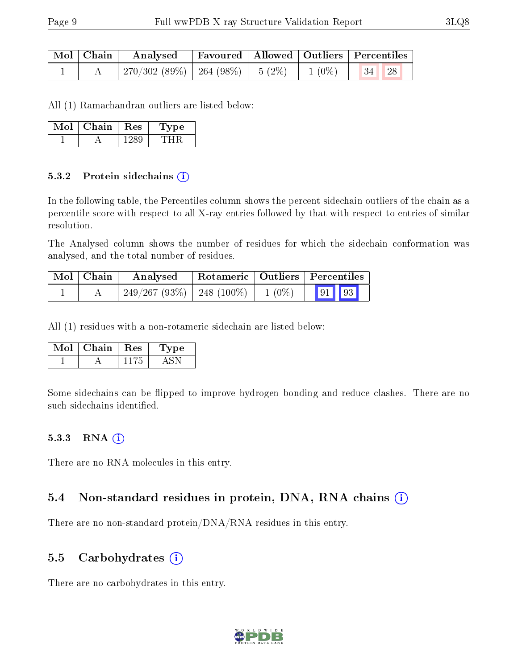| Mol   Chain | Favoured   Allowed   Outliers   Percentiles<br>Analysed |  |          |       |  |
|-------------|---------------------------------------------------------|--|----------|-------|--|
|             | $270/302(89\%)$ 264 (98\%)   5 (2\%)                    |  | $1(0\%)$ | 34 28 |  |

All (1) Ramachandran outliers are listed below:

| Mol | Chain | $_{\rm Res}$ | $\bf Type$ |
|-----|-------|--------------|------------|
|     |       |              |            |

#### 5.3.2 Protein sidechains (i)

In the following table, the Percentiles column shows the percent sidechain outliers of the chain as a percentile score with respect to all X-ray entries followed by that with respect to entries of similar resolution.

The Analysed column shows the number of residues for which the sidechain conformation was analysed, and the total number of residues.

| Mol   Chain | Rotameric   Outliers   Percentiles<br>Analysed |  |          |                                                                      |  |  |
|-------------|------------------------------------------------|--|----------|----------------------------------------------------------------------|--|--|
|             | $249/267(93\%)$   248 (100\%)                  |  | $1(0\%)$ | $\begin{array}{ c c c c c }\hline \text{91} & \text{93} \end{array}$ |  |  |

All (1) residues with a non-rotameric sidechain are listed below:

| Mol | Chain | $\operatorname{Res}$ | ype |
|-----|-------|----------------------|-----|
|     |       |                      |     |

Some sidechains can be flipped to improve hydrogen bonding and reduce clashes. There are no such sidechains identified.

#### 5.3.3 RNA (i)

There are no RNA molecules in this entry.

#### 5.4 Non-standard residues in protein, DNA, RNA chains (i)

There are no non-standard protein/DNA/RNA residues in this entry.

#### 5.5 Carbohydrates  $(i)$

There are no carbohydrates in this entry.

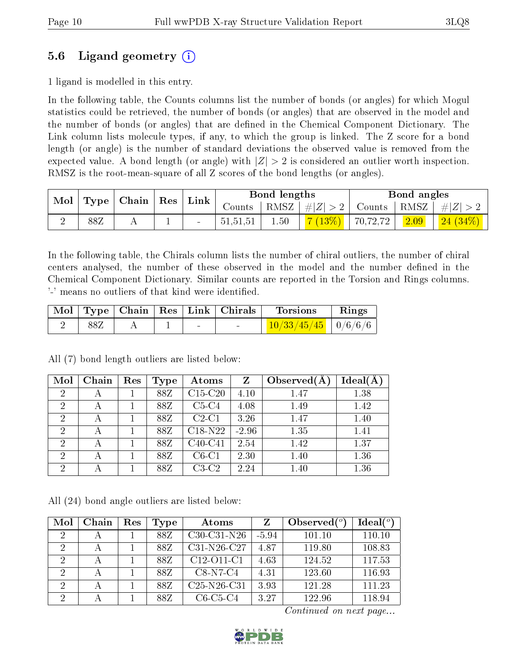### 5.6 Ligand geometry (i)

1 ligand is modelled in this entry.

In the following table, the Counts columns list the number of bonds (or angles) for which Mogul statistics could be retrieved, the number of bonds (or angles) that are observed in the model and the number of bonds (or angles) that are dened in the Chemical Component Dictionary. The Link column lists molecule types, if any, to which the group is linked. The Z score for a bond length (or angle) is the number of standard deviations the observed value is removed from the expected value. A bond length (or angle) with  $|Z| > 2$  is considered an outlier worth inspection. RMSZ is the root-mean-square of all Z scores of the bond lengths (or angles).

| Mol<br>Chain<br>Type |     | Res | $\mathop{\rm Link}\nolimits$ |                          | Bond lengths |         | Bond angles |          |           |         |
|----------------------|-----|-----|------------------------------|--------------------------|--------------|---------|-------------|----------|-----------|---------|
|                      |     |     |                              | Counts                   | RMSZ         | #Z  > 2 | Counts      | RMSZ     | $\pm  Z $ |         |
|                      | 88Z | A   | ᅩ                            | $\overline{\phantom{0}}$ | 51,51,51     | 1.50    | (13%)       | 70,72,72 | 2.09      | 24(34%) |

In the following table, the Chirals column lists the number of chiral outliers, the number of chiral centers analysed, the number of these observed in the model and the number defined in the Chemical Component Dictionary. Similar counts are reported in the Torsion and Rings columns. '-' means no outliers of that kind were identified.

|  |  |   | Mol   Type   Chain   Res   Link   Chirals | <b>Torsions</b>         | Rings |
|--|--|---|-------------------------------------------|-------------------------|-------|
|  |  | - |                                           | $10/33/45/45$   0/6/6/6 |       |

| Mol            | Chain | Res | Type | Atoms     | Z       | Observed $(A$ | Ideal(A) |
|----------------|-------|-----|------|-----------|---------|---------------|----------|
| $\overline{2}$ |       |     | 88Z  | $C15-C20$ | 4.10    | 1.47          | 1.38     |
| $\overline{2}$ | А     |     | 88Z  | $C5-C4$   | 4.08    | 1.49          | 1.42     |
| $\overline{2}$ |       |     | 88Z  | $C2-C1$   | 3.26    | 1.47          | 1.40     |
| $\overline{2}$ |       |     | 88Z  | $C18-N22$ | $-2.96$ | 1.35          | 1.41     |
| $\overline{2}$ |       |     | 88Z  | $C40-C41$ | 2.54    | 1.42          | 1.37     |
| $\overline{2}$ |       |     | 88Z  | $C6-C1$   | 2.30    | 1.40          | 1.36     |
| $\overline{2}$ |       |     | 88Z  | $C3-C2$   | 2.24    | 1.40          | 1.36     |

All (7) bond length outliers are listed below:

All (24) bond angle outliers are listed below:

| Mol            | Chain | Res | Type | Atoms         | Z       | Observed $(^\circ)$ | Ideal $(°)$ |
|----------------|-------|-----|------|---------------|---------|---------------------|-------------|
| $\mathcal{D}$  |       |     | 88Z  | $C30-C31-N26$ | $-5.94$ | 101.10              | 110.10      |
| 2              |       |     | 88Z  | $C31-N26-C27$ | 4.87    | 119.80              | 108.83      |
| $\mathcal{D}$  |       |     | 88Z  | C12-O11-C1    | 4.63    | 124.52              | 117.53      |
| $\mathcal{D}$  |       |     | 88Z  | $C8-N7-C4$    | 4.31    | 123.60              | 116.93      |
| $\mathcal{D}$  |       |     | 88Z  | $C25-N26-C31$ | 3.93    | 121.28              | 111.23      |
| $\overline{2}$ |       |     | 88Z  | $C6-C5-C4$    | 3.27    | 122.96              | 118.94      |

Continued on next page...

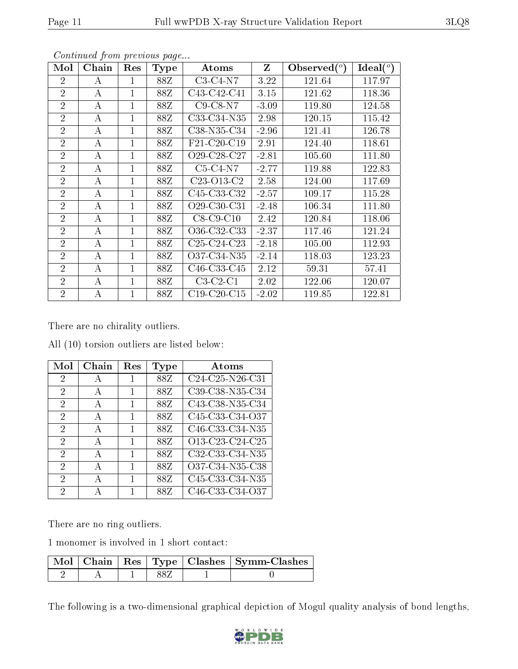| Mol            | Chain | Res            | Type | Atoms                                             | Z       | Observed $(°)$ | Ideal $(°)$ |
|----------------|-------|----------------|------|---------------------------------------------------|---------|----------------|-------------|
| $\overline{2}$ | А     | 1              | 88Z  | $C3-C4-N7$                                        | 3.22    | 121.64         | 117.97      |
| $\overline{2}$ | А     | $\mathbf{1}$   | 88Z  | C43-C42-C41                                       | 3.15    | 121.62         | 118.36      |
| $\overline{2}$ | А     | $\mathbf{1}$   | 88Z  | $C9-C8-N7$                                        | $-3.09$ | 119.80         | 124.58      |
| $\overline{2}$ | А     | 1              | 88Z  | C33-C34-N35                                       | 2.98    | 120.15         | 115.42      |
| $\overline{2}$ | A     | 1              | 88Z  | C38-N35-C34                                       | $-2.96$ | 121.41         | 126.78      |
| $\overline{2}$ | А     | 1              | 88Z  | F21-C20-C19                                       | 2.91    | 124.40         | 118.61      |
| $\overline{2}$ | А     | $\overline{1}$ | 88Z  | O <sub>29</sub> -C <sub>28</sub> -C <sub>27</sub> | $-2.81$ | 105.60         | 111.80      |
| $\overline{2}$ | А     | $\mathbf{1}$   | 88Z  | $C5-C4-N7$                                        | $-2.77$ | 119.88         | 122.83      |
| $\overline{2}$ | А     | $\mathbf{1}$   | 88Z  | C <sub>23</sub> -O <sub>13</sub> -C <sub>2</sub>  | 2.58    | 124.00         | 117.69      |
| $\overline{2}$ | А     | 1              | 88Z  | C <sub>45</sub> -C <sub>33</sub> -C <sub>32</sub> | $-2.57$ | 109.17         | 115.28      |
| $\overline{2}$ | А     | $\mathbf{1}$   | 88Z  | O <sub>29</sub> -C <sub>30</sub> -C <sub>31</sub> | $-2.48$ | 106.34         | 111.80      |
| $\overline{2}$ | А     | 1              | 88Z  | $C8-C9-C10$                                       | 2.42    | 120.84         | 118.06      |
| $\overline{2}$ | А     | 1              | 88Z  | O36-C32-C33                                       | $-2.37$ | 117.46         | 121.24      |
| $\overline{2}$ | А     | $\mathbf{1}$   | 88Z  | $C25-C24-C23$                                     | $-2.18$ | 105.00         | 112.93      |
| $\overline{2}$ | А     | $\mathbf{1}$   | 88Z  | O37-C34-N35                                       | $-2.14$ | 118.03         | 123.23      |
| $\overline{2}$ | A     | $\overline{1}$ | 88Z  | C <sub>46</sub> -C <sub>33</sub> -C <sub>45</sub> | 2.12    | 59.31          | 57.41       |
| $\overline{2}$ | A     | $\overline{1}$ | 88Z  | $C3-C2-C1$                                        | 2.02    | 122.06         | 120.07      |
| $\overline{2}$ | А     | $\mathbf{1}$   | 88Z  | $C19-C20-C15$                                     | $-2.02$ | 119.85         | 122.81      |

Continued from previous page...

There are no chirality outliers.

All (10) torsion outliers are listed below:

| $\operatorname{Mol}$ | Chain        | Res | Type | Atoms           |
|----------------------|--------------|-----|------|-----------------|
| 2                    | А            | 1   | 88Z  | C24-C25-N26-C31 |
| 2                    | А            | 1   | 88Z  | C39-C38-N35-C34 |
| 2                    | $\mathbf{A}$ | 1   | 88Z  | C43-C38-N35-C34 |
| 2                    | А            | 1   | 88Z  | C45-C33-C34-O37 |
| 2                    | А            | 1   | 88Z  | C46-C33-C34-N35 |
| 2                    | $\mathbf{A}$ | 1   | 88Z  | O13-C23-C24-C25 |
| 2                    | А            | 1   | 88Z  | C32-C33-C34-N35 |
| 2                    | А            | 1   | 88Z  | O37-C34-N35-C38 |
| 2                    | А            | 1   | 88Z  | C45-C33-C34-N35 |
| 2                    |              |     | 88Z  | C46-C33-C34-O37 |

There are no ring outliers.

1 monomer is involved in 1 short contact:

|  |  | Mol   Chain   Res   Type   Clashes   Symm-Clashes |
|--|--|---------------------------------------------------|
|  |  |                                                   |

The following is a two-dimensional graphical depiction of Mogul quality analysis of bond lengths,

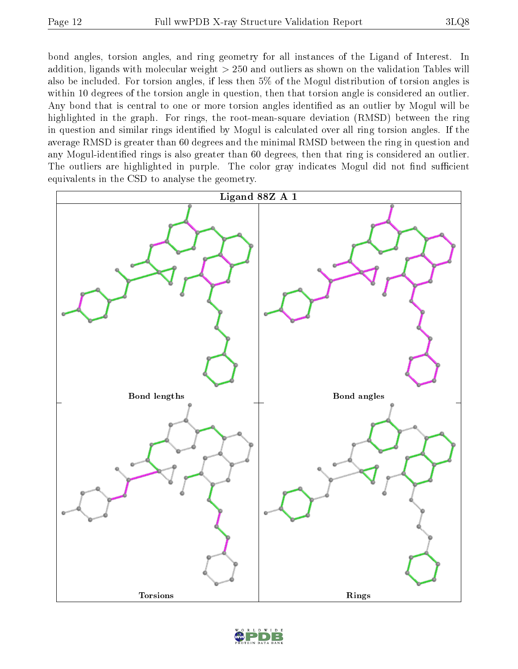bond angles, torsion angles, and ring geometry for all instances of the Ligand of Interest. In addition, ligands with molecular weight > 250 and outliers as shown on the validation Tables will also be included. For torsion angles, if less then 5% of the Mogul distribution of torsion angles is within 10 degrees of the torsion angle in question, then that torsion angle is considered an outlier. Any bond that is central to one or more torsion angles identified as an outlier by Mogul will be highlighted in the graph. For rings, the root-mean-square deviation (RMSD) between the ring in question and similar rings identified by Mogul is calculated over all ring torsion angles. If the average RMSD is greater than 60 degrees and the minimal RMSD between the ring in question and any Mogul-identified rings is also greater than 60 degrees, then that ring is considered an outlier. The outliers are highlighted in purple. The color gray indicates Mogul did not find sufficient equivalents in the CSD to analyse the geometry.



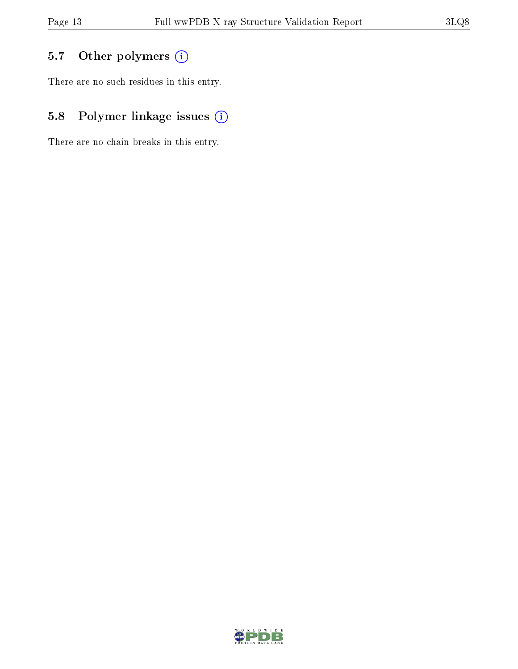## 5.7 [O](https://www.wwpdb.org/validation/2017/XrayValidationReportHelp#nonstandard_residues_and_ligands)ther polymers (i)

There are no such residues in this entry.

## 5.8 Polymer linkage issues (i)

There are no chain breaks in this entry.

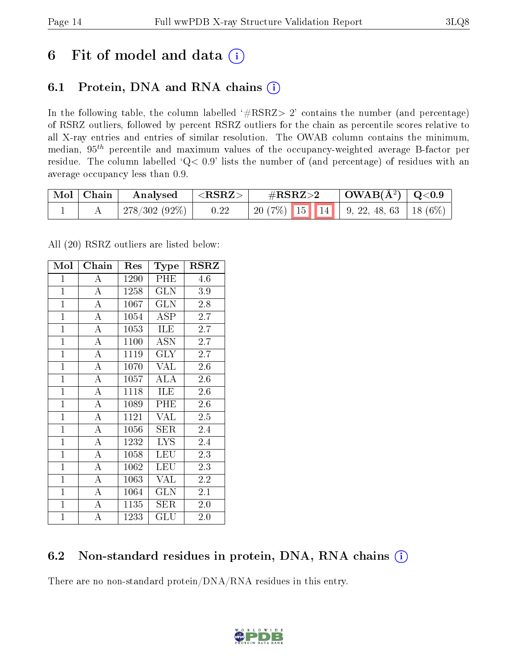## 6 Fit of model and data  $(i)$

## 6.1 Protein, DNA and RNA chains  $(i)$

In the following table, the column labelled  $#RSRZ> 2'$  contains the number (and percentage) of RSRZ outliers, followed by percent RSRZ outliers for the chain as percentile scores relative to all X-ray entries and entries of similar resolution. The OWAB column contains the minimum, median,  $95<sup>th</sup>$  percentile and maximum values of the occupancy-weighted average B-factor per residue. The column labelled ' $Q< 0.9$ ' lists the number of (and percentage) of residues with an average occupancy less than 0.9.

| $^\shortparallel$ Mol $\mid$ Chain | Analysed            | $^+$ <rsrz> <math>^-</math></rsrz> | $\#\mathrm{RSRZ}{>}2$ | $\vert$ OWAB( $\rm \AA^2) \vert$ Q<0.9 |  |
|------------------------------------|---------------------|------------------------------------|-----------------------|----------------------------------------|--|
|                                    | $\pm 278/302(92\%)$ | 0.22                               |                       |                                        |  |

All (20) RSRZ outliers are listed below:

| Mol            | Chain              | Res  | <b>Type</b>          | RSRZ             |
|----------------|--------------------|------|----------------------|------------------|
| $\mathbf{1}$   | А                  | 1290 | PHE                  | 4.6              |
| $\mathbf{1}$   | $\overline{\rm A}$ | 1258 | <b>GLN</b>           | 3.9              |
| $\mathbf{1}$   | $\overline{\rm A}$ | 1067 | GLN                  | 2.8              |
| $\overline{1}$ | $\bf{A}$           | 1054 | ASP                  | 2.7              |
| $\mathbf{1}$   | $\overline{\rm A}$ | 1053 | ILE                  | $\overline{2.7}$ |
| $\mathbf{1}$   | A                  | 1100 | <b>ASN</b>           | 2.7              |
| $\overline{1}$ | $\bf{A}$           | 1119 | GLY                  | 2.7              |
| $\overline{1}$ | $\overline{\rm A}$ | 1070 | VAL                  | 2.6              |
| $\mathbf{1}$   | $\overline{A}$     | 1057 | ALA                  | 2.6              |
| $\mathbf{1}$   | $\overline{\rm A}$ | 1118 | ILE                  | 2.6              |
| $\mathbf{1}$   | $\mathbf{A}$       | 1089 | PHE                  | 2.6              |
| $\mathbf{1}$   | $\overline{\rm A}$ | 1121 | VAL                  | 2.5              |
| $\overline{1}$ | $\overline{A}$     | 1056 | ${\rm SER}$          | 2.4              |
| $\mathbf{1}$   | $\bf{A}$           | 1232 | <b>LYS</b>           | 2.4              |
| $\overline{1}$ | $\overline{\rm A}$ | 1058 | LEU                  | 2.3              |
| $\mathbf{1}$   | $\overline{A}$     | 1062 | <b>LEU</b>           | 2.3              |
| $\overline{1}$ | $\overline{\rm A}$ | 1063 | VAL                  | 2.2              |
| $\mathbf{1}$   | $\boldsymbol{A}$   | 1064 | <b>GLN</b>           | 2.1              |
| $\mathbf{1}$   | $\bf{A}$           | 1135 | SER                  | 2.0              |
| $\mathbf{1}$   | A                  | 1233 | $\operatorname{GLU}$ | 2.0              |

### 6.2 Non-standard residues in protein, DNA, RNA chains (i)

There are no non-standard protein/DNA/RNA residues in this entry.